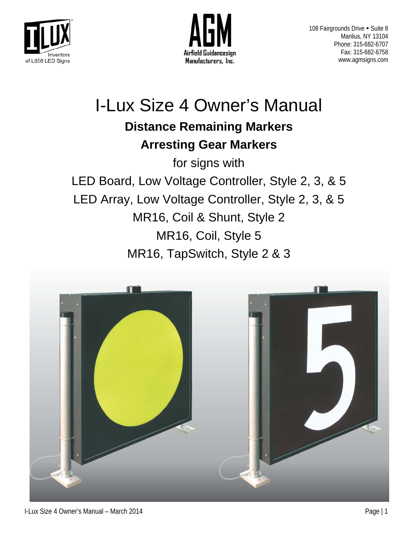



# I-Lux Size 4 Owner's Manual **Distance Remaining Markers Arresting Gear Markers**

for signs with LED Board, Low Voltage Controller, Style 2, 3, & 5 LED Array, Low Voltage Controller, Style 2, 3, & 5 MR16, Coil & Shunt, Style 2 MR16, Coil, Style 5 MR16, TapSwitch, Style 2 & 3

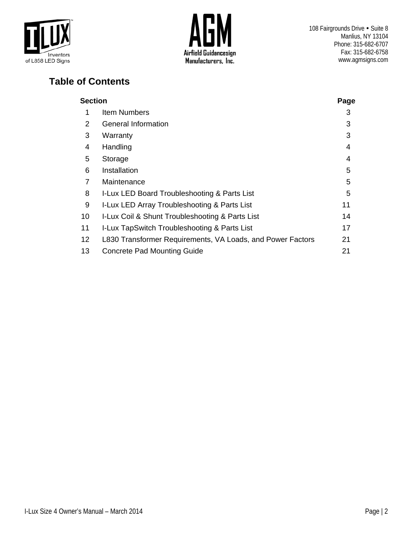



108 Fairgrounds Drive . Suite 8 Manlius, NY 13104 Phone: 315-682-6707 Fax: 315-682-6758 www.agmsigns.com

# **Table of Contents**

|                 | <b>Section</b>                                             |    |  |  |
|-----------------|------------------------------------------------------------|----|--|--|
| 1               | Item Numbers                                               | 3  |  |  |
| 2               | <b>General Information</b>                                 | 3  |  |  |
| 3               | Warranty                                                   | 3  |  |  |
| 4               | Handling                                                   | 4  |  |  |
| 5               | Storage                                                    | 4  |  |  |
| 6               | Installation                                               | 5  |  |  |
| 7               | Maintenance                                                | 5  |  |  |
| 8               | I-Lux LED Board Troubleshooting & Parts List               | 5  |  |  |
| 9               | I-Lux LED Array Troubleshooting & Parts List               | 11 |  |  |
| 10              | I-Lux Coil & Shunt Troubleshooting & Parts List            | 14 |  |  |
| 11              | I-Lux TapSwitch Troubleshooting & Parts List               | 17 |  |  |
| 12 <sup>2</sup> | L830 Transformer Requirements, VA Loads, and Power Factors | 21 |  |  |
| 13              | <b>Concrete Pad Mounting Guide</b>                         | 21 |  |  |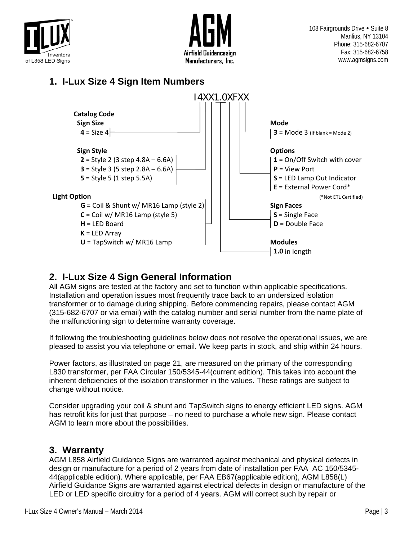



### **1. I-Lux Size 4 Sign Item Numbers**



### **2. I-Lux Size 4 Sign General Information**

All AGM signs are tested at the factory and set to function within applicable specifications. Installation and operation issues most frequently trace back to an undersized isolation transformer or to damage during shipping. Before commencing repairs, please contact AGM (315-682-6707 or via email) with the catalog number and serial number from the name plate of the malfunctioning sign to determine warranty coverage.

If following the troubleshooting guidelines below does not resolve the operational issues, we are pleased to assist you via telephone or email. We keep parts in stock, and ship within 24 hours.

Power factors, as illustrated on page 21, are measured on the primary of the corresponding L830 transformer, per FAA Circular 150/5345-44(current edition). This takes into account the inherent deficiencies of the isolation transformer in the values. These ratings are subject to change without notice.

Consider upgrading your coil & shunt and TapSwitch signs to energy efficient LED signs. AGM has retrofit kits for just that purpose – no need to purchase a whole new sign. Please contact AGM to learn more about the possibilities.

### **3. Warranty**

AGM L858 Airfield Guidance Signs are warranted against mechanical and physical defects in design or manufacture for a period of 2 years from date of installation per FAA AC 150/5345- 44(applicable edition). Where applicable, per FAA EB67(applicable edition), AGM L858(L) Airfield Guidance Signs are warranted against electrical defects in design or manufacture of the LED or LED specific circuitry for a period of 4 years. AGM will correct such by repair or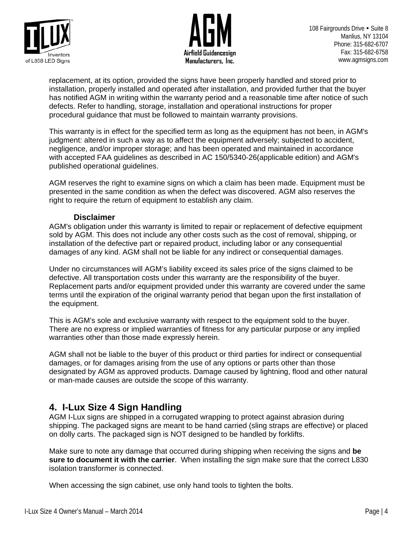



108 Fairgrounds Drive . Suite 8 Manlius, NY 13104 Phone: 315-682-6707 Fax: 315-682-6758 www.agmsigns.com

replacement, at its option, provided the signs have been properly handled and stored prior to installation, properly installed and operated after installation, and provided further that the buyer has notified AGM in writing within the warranty period and a reasonable time after notice of such defects. Refer to handling, storage, installation and operational instructions for proper procedural guidance that must be followed to maintain warranty provisions.

This warranty is in effect for the specified term as long as the equipment has not been, in AGM's judgment: altered in such a way as to affect the equipment adversely; subjected to accident, negligence, and/or improper storage; and has been operated and maintained in accordance with accepted FAA guidelines as described in AC 150/5340-26(applicable edition) and AGM's published operational guidelines.

AGM reserves the right to examine signs on which a claim has been made. Equipment must be presented in the same condition as when the defect was discovered. AGM also reserves the right to require the return of equipment to establish any claim.

### **Disclaimer**

AGM's obligation under this warranty is limited to repair or replacement of defective equipment sold by AGM. This does not include any other costs such as the cost of removal, shipping, or installation of the defective part or repaired product, including labor or any consequential damages of any kind. AGM shall not be liable for any indirect or consequential damages.

Under no circumstances will AGM's liability exceed its sales price of the signs claimed to be defective. All transportation costs under this warranty are the responsibility of the buyer. Replacement parts and/or equipment provided under this warranty are covered under the same terms until the expiration of the original warranty period that began upon the first installation of the equipment.

This is AGM's sole and exclusive warranty with respect to the equipment sold to the buyer. There are no express or implied warranties of fitness for any particular purpose or any implied warranties other than those made expressly herein.

AGM shall not be liable to the buyer of this product or third parties for indirect or consequential damages, or for damages arising from the use of any options or parts other than those designated by AGM as approved products. Damage caused by lightning, flood and other natural or man-made causes are outside the scope of this warranty.

### **4. I-Lux Size 4 Sign Handling**

AGM I-Lux signs are shipped in a corrugated wrapping to protect against abrasion during shipping. The packaged signs are meant to be hand carried (sling straps are effective) or placed on dolly carts. The packaged sign is NOT designed to be handled by forklifts.

Make sure to note any damage that occurred during shipping when receiving the signs and **be sure to document it with the carrier**. When installing the sign make sure that the correct L830 isolation transformer is connected.

When accessing the sign cabinet, use only hand tools to tighten the bolts.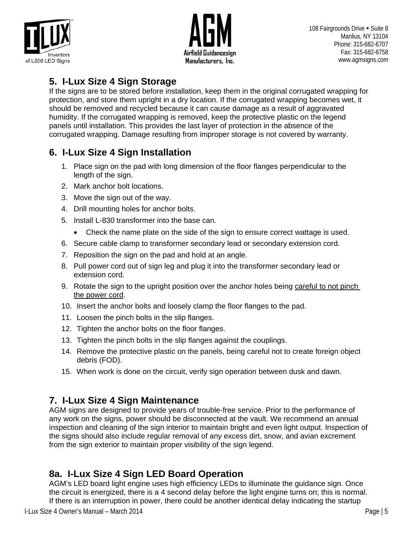



### **5. I-Lux Size 4 Sign Storage**

If the signs are to be stored before installation, keep them in the original corrugated wrapping for protection, and store them upright in a dry location. If the corrugated wrapping becomes wet, it should be removed and recycled because it can cause damage as a result of aggravated humidity. If the corrugated wrapping is removed, keep the protective plastic on the legend panels until installation. This provides the last layer of protection in the absence of the corrugated wrapping. Damage resulting from improper storage is not covered by warranty.

# **6. I-Lux Size 4 Sign Installation**

- 1. Place sign on the pad with long dimension of the floor flanges perpendicular to the length of the sign.
- 2. Mark anchor bolt locations.
- 3. Move the sign out of the way.
- 4. Drill mounting holes for anchor bolts.
- 5. Install L-830 transformer into the base can.
	- Check the name plate on the side of the sign to ensure correct wattage is used.
- 6. Secure cable clamp to transformer secondary lead or secondary extension cord.
- 7. Reposition the sign on the pad and hold at an angle.
- 8. Pull power cord out of sign leg and plug it into the transformer secondary lead or extension cord.
- 9. Rotate the sign to the upright position over the anchor holes being careful to not pinch the power cord.
- 10. Insert the anchor bolts and loosely clamp the floor flanges to the pad.
- 11. Loosen the pinch bolts in the slip flanges.
- 12. Tighten the anchor bolts on the floor flanges.
- 13. Tighten the pinch bolts in the slip flanges against the couplings.
- 14. Remove the protective plastic on the panels, being careful not to create foreign object debris (FOD).
- 15. When work is done on the circuit, verify sign operation between dusk and dawn.

# **7. I-Lux Size 4 Sign Maintenance**

AGM signs are designed to provide years of trouble-free service. Prior to the performance of any work on the signs, power should be disconnected at the vault. We recommend an annual inspection and cleaning of the sign interior to maintain bright and even light output. Inspection of the signs should also include regular removal of any excess dirt, snow, and avian excrement from the sign exterior to maintain proper visibility of the sign legend.

# **8a. I-Lux Size 4 Sign LED Board Operation**

AGM's LED board light engine uses high efficiency LEDs to illuminate the guidance sign. Once the circuit is energized, there is a 4 second delay before the light engine turns on; this is normal. If there is an interruption in power, there could be another identical delay indicating the startup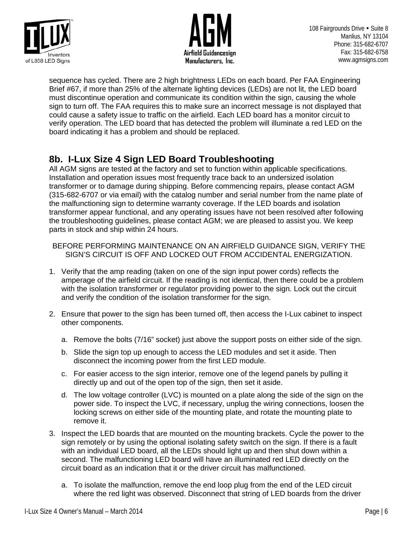



sequence has cycled. There are 2 high brightness LEDs on each board. Per FAA Engineering Brief #67, if more than 25% of the alternate lighting devices (LEDs) are not lit, the LED board must discontinue operation and communicate its condition within the sign, causing the whole sign to turn off. The FAA requires this to make sure an incorrect message is not displayed that could cause a safety issue to traffic on the airfield. Each LED board has a monitor circuit to verify operation. The LED board that has detected the problem will illuminate a red LED on the board indicating it has a problem and should be replaced.

### **8b. I-Lux Size 4 Sign LED Board Troubleshooting**

All AGM signs are tested at the factory and set to function within applicable specifications. Installation and operation issues most frequently trace back to an undersized isolation transformer or to damage during shipping. Before commencing repairs, please contact AGM (315-682-6707 or via email) with the catalog number and serial number from the name plate of the malfunctioning sign to determine warranty coverage. If the LED boards and isolation transformer appear functional, and any operating issues have not been resolved after following the troubleshooting guidelines, please contact AGM; we are pleased to assist you. We keep parts in stock and ship within 24 hours.

BEFORE PERFORMING MAINTENANCE ON AN AIRFIELD GUIDANCE SIGN, VERIFY THE SIGN'S CIRCUIT IS OFF AND LOCKED OUT FROM ACCIDENTAL ENERGIZATION.

- 1. Verify that the amp reading (taken on one of the sign input power cords) reflects the amperage of the airfield circuit. If the reading is not identical, then there could be a problem with the isolation transformer or regulator providing power to the sign. Lock out the circuit and verify the condition of the isolation transformer for the sign.
- 2. Ensure that power to the sign has been turned off, then access the I-Lux cabinet to inspect other components.
	- a. Remove the bolts (7/16" socket) just above the support posts on either side of the sign.
	- b. Slide the sign top up enough to access the LED modules and set it aside. Then disconnect the incoming power from the first LED module.
	- c. For easier access to the sign interior, remove one of the legend panels by pulling it directly up and out of the open top of the sign, then set it aside.
	- d. The low voltage controller (LVC) is mounted on a plate along the side of the sign on the power side. To inspect the LVC, if necessary, unplug the wiring connections, loosen the locking screws on either side of the mounting plate, and rotate the mounting plate to remove it.
- 3. Inspect the LED boards that are mounted on the mounting brackets. Cycle the power to the sign remotely or by using the optional isolating safety switch on the sign. If there is a fault with an individual LED board, all the LEDs should light up and then shut down within a second. The malfunctioning LED board will have an illuminated red LED directly on the circuit board as an indication that it or the driver circuit has malfunctioned.
	- a. To isolate the malfunction, remove the end loop plug from the end of the LED circuit where the red light was observed. Disconnect that string of LED boards from the driver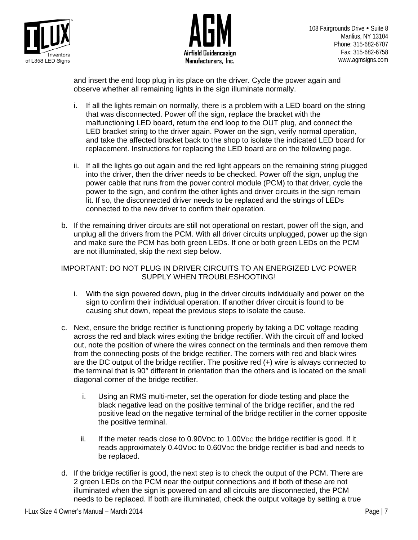



and insert the end loop plug in its place on the driver. Cycle the power again and observe whether all remaining lights in the sign illuminate normally.

- i. If all the lights remain on normally, there is a problem with a LED board on the string that was disconnected. Power off the sign, replace the bracket with the malfunctioning LED board, return the end loop to the OUT plug, and connect the LED bracket string to the driver again. Power on the sign, verify normal operation, and take the affected bracket back to the shop to isolate the indicated LED board for replacement. Instructions for replacing the LED board are on the following page.
- ii. If all the lights go out again and the red light appears on the remaining string plugged into the driver, then the driver needs to be checked. Power off the sign, unplug the power cable that runs from the power control module (PCM) to that driver, cycle the power to the sign, and confirm the other lights and driver circuits in the sign remain lit. If so, the disconnected driver needs to be replaced and the strings of LEDs connected to the new driver to confirm their operation.
- b. If the remaining driver circuits are still not operational on restart, power off the sign, and unplug all the drivers from the PCM. With all driver circuits unplugged, power up the sign and make sure the PCM has both green LEDs. If one or both green LEDs on the PCM are not illuminated, skip the next step below.

### IMPORTANT: DO NOT PLUG IN DRIVER CIRCUITS TO AN ENERGIZED LVC POWER SUPPLY WHEN TROUBLESHOOTING!

- i. With the sign powered down, plug in the driver circuits individually and power on the sign to confirm their individual operation. If another driver circuit is found to be causing shut down, repeat the previous steps to isolate the cause.
- c. Next, ensure the bridge rectifier is functioning properly by taking a DC voltage reading across the red and black wires exiting the bridge rectifier. With the circuit off and locked out, note the position of where the wires connect on the terminals and then remove them from the connecting posts of the bridge rectifier. The corners with red and black wires are the DC output of the bridge rectifier. The positive red (+) wire is always connected to the terminal that is 90° different in orientation than the others and is located on the small diagonal corner of the bridge rectifier.
	- i. Using an RMS multi-meter, set the operation for diode testing and place the black negative lead on the positive terminal of the bridge rectifier, and the red positive lead on the negative terminal of the bridge rectifier in the corner opposite the positive terminal.
	- ii. If the meter reads close to 0.90VDC to 1.00VDC the bridge rectifier is good. If it reads approximately 0.40VDC to 0.60VDC the bridge rectifier is bad and needs to be replaced.
- d. If the bridge rectifier is good, the next step is to check the output of the PCM. There are 2 green LEDs on the PCM near the output connections and if both of these are not illuminated when the sign is powered on and all circuits are disconnected, the PCM needs to be replaced. If both are illuminated, check the output voltage by setting a true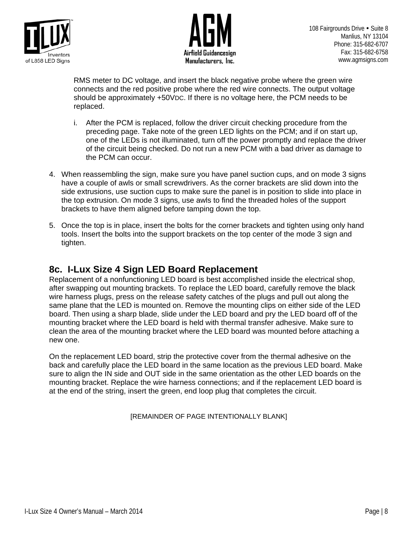



RMS meter to DC voltage, and insert the black negative probe where the green wire connects and the red positive probe where the red wire connects. The output voltage should be approximately +50VDC. If there is no voltage here, the PCM needs to be replaced.

- i. After the PCM is replaced, follow the driver circuit checking procedure from the preceding page. Take note of the green LED lights on the PCM; and if on start up, one of the LEDs is not illuminated, turn off the power promptly and replace the driver of the circuit being checked. Do not run a new PCM with a bad driver as damage to the PCM can occur.
- 4. When reassembling the sign, make sure you have panel suction cups, and on mode 3 signs have a couple of awls or small screwdrivers. As the corner brackets are slid down into the side extrusions, use suction cups to make sure the panel is in position to slide into place in the top extrusion. On mode 3 signs, use awls to find the threaded holes of the support brackets to have them aligned before tamping down the top.
- 5. Once the top is in place, insert the bolts for the corner brackets and tighten using only hand tools. Insert the bolts into the support brackets on the top center of the mode 3 sign and tighten.

**8c. I-Lux Size 4 Sign LED Board Replacement**<br>Replacement of a nonfunctioning LED board is best accomplished inside the electrical shop, after swapping out mounting brackets. To replace the LED board, carefully remove the black wire harness plugs, press on the release safety catches of the plugs and pull out along the same plane that the LED is mounted on. Remove the mounting clips on either side of the LED board. Then using a sharp blade, slide under the LED board and pry the LED board off of the mounting bracket where the LED board is held with thermal transfer adhesive. Make sure to clean the area of the mounting bracket where the LED board was mounted before attaching a new one.

On the replacement LED board, strip the protective cover from the thermal adhesive on the back and carefully place the LED board in the same location as the previous LED board. Make sure to align the IN side and OUT side in the same orientation as the other LED boards on the mounting bracket. Replace the wire harness connections; and if the replacement LED board is at the end of the string, insert the green, end loop plug that completes the circuit.

[REMAINDER OF PAGE INTENTIONALLY BLANK]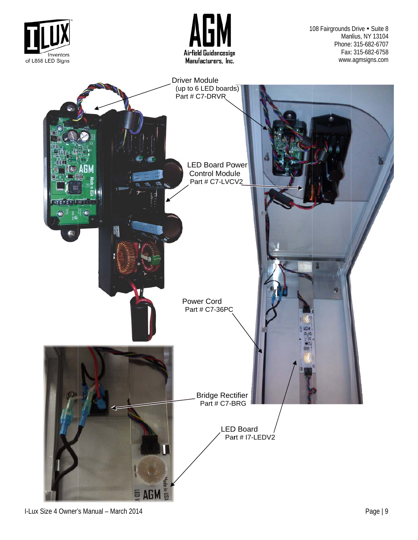

I-Lux Size 4 Owner' s Manual – March 2014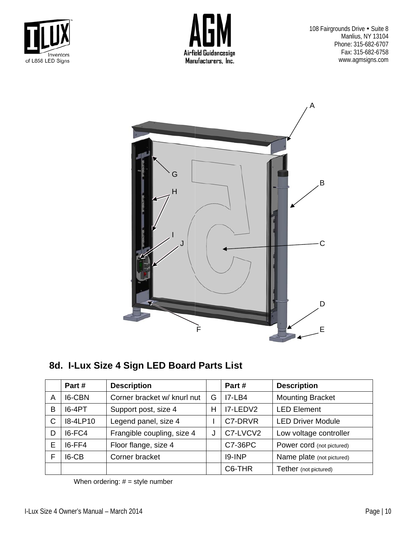



108 Fairgrounds Drive . Suite 8 Manlius, NY 13104 Phone: 315-682-6707 Fax: 315-682-6758 www.agmsigns.com



8d. I-Lux Size 4 Sign LED Board Parts List

|   | Part#         | <b>Description</b>          |   | Part#     | <b>Description</b>        |  |
|---|---------------|-----------------------------|---|-----------|---------------------------|--|
| A | <b>I6-CBN</b> | Corner bracket w/ knurl nut | G | $I7-LB4$  | <b>Mounting Bracket</b>   |  |
| В | <b>I6-4PT</b> | Support post, size 4        | H | I7-LEDV2  | <b>LED Element</b>        |  |
| С | 18-4LP10      | Legend panel, size 4        |   | C7-DRVR   | <b>LED Driver Module</b>  |  |
| D | I6-FC4        | Frangible coupling, size 4  | J | C7-LVCV2  | Low voltage controller    |  |
| Ε | I6-FF4        | Floor flange, size 4        |   | C7-36PC   | Power cord (not pictured) |  |
| F | I6-CB         | Corner bracket              |   | $19$ -INP | Name plate (not pictured) |  |
|   |               |                             |   | C6-THR    | Tether (not pictured)     |  |

When ordering:  $# = style number$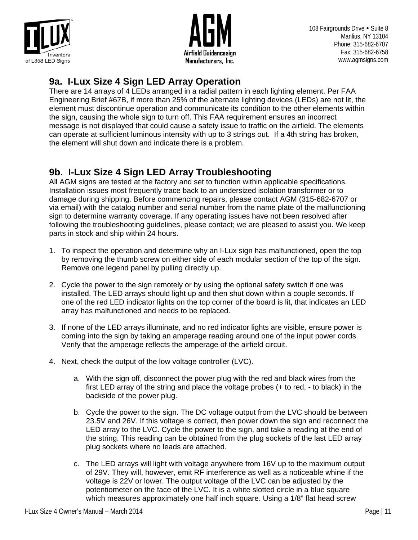



108 Fairgrounds Drive • Suite 8 Manlius, NY 13104 Phone: 315-682-6707 Fax: 315-682-6758 www.agmsigns.com

### **9a. I-Lux Size 4 Sign LED Array Operation**

There are 14 arrays of 4 LEDs arranged in a radial pattern in each lighting element. Per FAA Engineering Brief #67B, if more than 25% of the alternate lighting devices (LEDs) are not lit, the element must discontinue operation and communicate its condition to the other elements within the sign, causing the whole sign to turn off. This FAA requirement ensures an incorrect message is not displayed that could cause a safety issue to traffic on the airfield. The elements can operate at sufficient luminous intensity with up to 3 strings out. If a 4th string has broken, the element will shut down and indicate there is a problem.

# **9b. I-Lux Size 4 Sign LED Array Troubleshooting**

All AGM signs are tested at the factory and set to function within applicable specifications. Installation issues most frequently trace back to an undersized isolation transformer or to damage during shipping. Before commencing repairs, please contact AGM (315-682-6707 or via email) with the catalog number and serial number from the name plate of the malfunctioning sign to determine warranty coverage. If any operating issues have not been resolved after following the troubleshooting guidelines, please contact; we are pleased to assist you. We keep parts in stock and ship within 24 hours.

- 1. To inspect the operation and determine why an I-Lux sign has malfunctioned, open the top by removing the thumb screw on either side of each modular section of the top of the sign. Remove one legend panel by pulling directly up.
- 2. Cycle the power to the sign remotely or by using the optional safety switch if one was installed. The LED arrays should light up and then shut down within a couple seconds. If one of the red LED indicator lights on the top corner of the board is lit, that indicates an LED array has malfunctioned and needs to be replaced.
- 3. If none of the LED arrays illuminate, and no red indicator lights are visible, ensure power is coming into the sign by taking an amperage reading around one of the input power cords. Verify that the amperage reflects the amperage of the airfield circuit.
- 4. Next, check the output of the low voltage controller (LVC).
	- a. With the sign off, disconnect the power plug with the red and black wires from the first LED array of the string and place the voltage probes (+ to red, - to black) in the backside of the power plug.
	- b. Cycle the power to the sign. The DC voltage output from the LVC should be between 23.5V and 26V. If this voltage is correct, then power down the sign and reconnect the LED array to the LVC. Cycle the power to the sign, and take a reading at the end of the string. This reading can be obtained from the plug sockets of the last LED array plug sockets where no leads are attached.
	- c. The LED arrays will light with voltage anywhere from 16V up to the maximum output of 29V. They will, however, emit RF interference as well as a noticeable whine if the voltage is 22V or lower. The output voltage of the LVC can be adjusted by the potentiometer on the face of the LVC. It is a white slotted circle in a blue square which measures approximately one half inch square. Using a 1/8" flat head screw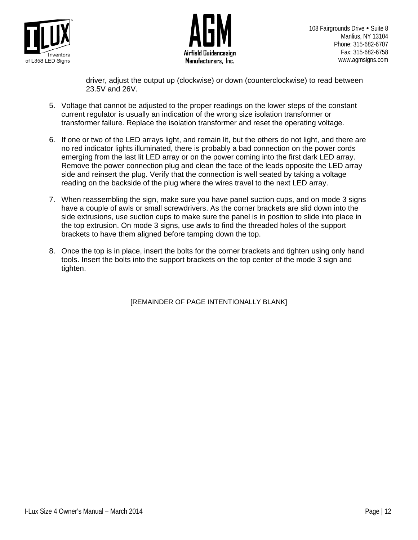



driver, adjust the output up (clockwise) or down (counterclockwise) to read between 23.5V and 26V.

- 5. Voltage that cannot be adjusted to the proper readings on the lower steps of the constant current regulator is usually an indication of the wrong size isolation transformer or transformer failure. Replace the isolation transformer and reset the operating voltage.
- 6. If one or two of the LED arrays light, and remain lit, but the others do not light, and there are no red indicator lights illuminated, there is probably a bad connection on the power cords emerging from the last lit LED array or on the power coming into the first dark LED array. Remove the power connection plug and clean the face of the leads opposite the LED array side and reinsert the plug. Verify that the connection is well seated by taking a voltage reading on the backside of the plug where the wires travel to the next LED array.
- 7. When reassembling the sign, make sure you have panel suction cups, and on mode 3 signs have a couple of awls or small screwdrivers. As the corner brackets are slid down into the side extrusions, use suction cups to make sure the panel is in position to slide into place in the top extrusion. On mode 3 signs, use awls to find the threaded holes of the support brackets to have them aligned before tamping down the top.
- 8. Once the top is in place, insert the bolts for the corner brackets and tighten using only hand tools. Insert the bolts into the support brackets on the top center of the mode 3 sign and tighten.

[REMAINDER OF PAGE INTENTIONALLY BLANK]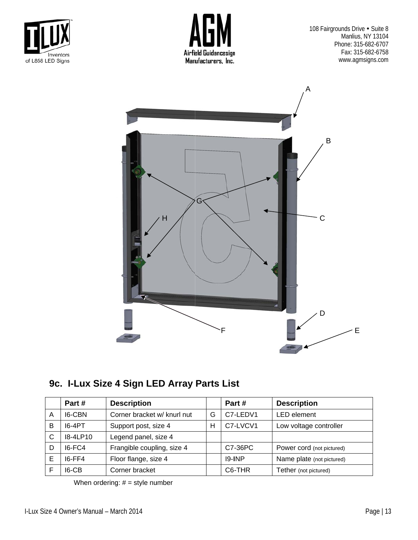



108 Fairgrounds Drive . Suite 8 Manlius, NY 13104 Phone: 315-682-6707 Fax: 315-682-6758 www.agmsigns.com



9c. I-Lux Size 4 Sign LED Array Parts List

|   | Part #     | <b>Description</b>          |   | Part #              | <b>Description</b>        |
|---|------------|-----------------------------|---|---------------------|---------------------------|
| A | 16-CBN     | Corner bracket w/ knurl nut | G | C7-LEDV1            | <b>LED</b> element        |
| B | 16-4PT     | Support post, size 4        | Н | C7-LVCV1            | Low voltage controller    |
| C | $I8-4LP10$ | Legend panel, size 4        |   |                     |                           |
| D | $16-FC4$   | Frangible coupling, size 4  |   | C7-36PC             | Power cord (not pictured) |
| Е | $16-FF4$   | Floor flange, size 4        |   | $19$ -INP           | Name plate (not pictured) |
|   | $IG-CB$    | Corner bracket              |   | C <sub>6</sub> -THR | Tether (not pictured)     |

When ordering:  $# = style number$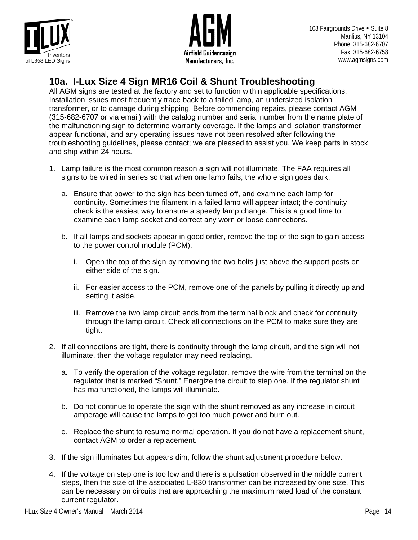



108 Fairgrounds Drive • Suite 8 Manlius, NY 13104 Phone: 315-682-6707 Fax: 315-682-6758 www.agmsigns.com

### **10a. I-Lux Size 4 Sign MR16 Coil & Shunt Troubleshooting**

All AGM signs are tested at the factory and set to function within applicable specifications. Installation issues most frequently trace back to a failed lamp, an undersized isolation transformer, or to damage during shipping. Before commencing repairs, please contact AGM (315-682-6707 or via email) with the catalog number and serial number from the name plate of the malfunctioning sign to determine warranty coverage. If the lamps and isolation transformer appear functional, and any operating issues have not been resolved after following the troubleshooting guidelines, please contact; we are pleased to assist you. We keep parts in stock and ship within 24 hours.

- 1. Lamp failure is the most common reason a sign will not illuminate. The FAA requires all signs to be wired in series so that when one lamp fails, the whole sign goes dark.
	- a. Ensure that power to the sign has been turned off, and examine each lamp for continuity. Sometimes the filament in a failed lamp will appear intact; the continuity check is the easiest way to ensure a speedy lamp change. This is a good time to examine each lamp socket and correct any worn or loose connections.
	- b. If all lamps and sockets appear in good order, remove the top of the sign to gain access to the power control module (PCM).
		- i. Open the top of the sign by removing the two bolts just above the support posts on either side of the sign.
		- ii. For easier access to the PCM, remove one of the panels by pulling it directly up and setting it aside.
		- iii. Remove the two lamp circuit ends from the terminal block and check for continuity through the lamp circuit. Check all connections on the PCM to make sure they are tight.
- 2. If all connections are tight, there is continuity through the lamp circuit, and the sign will not illuminate, then the voltage regulator may need replacing.
	- a. To verify the operation of the voltage regulator, remove the wire from the terminal on the regulator that is marked "Shunt." Energize the circuit to step one. If the regulator shunt has malfunctioned, the lamps will illuminate.
	- b. Do not continue to operate the sign with the shunt removed as any increase in circuit amperage will cause the lamps to get too much power and burn out.
	- c. Replace the shunt to resume normal operation. If you do not have a replacement shunt, contact AGM to order a replacement.
- 3. If the sign illuminates but appears dim, follow the shunt adjustment procedure below.
- 4. If the voltage on step one is too low and there is a pulsation observed in the middle current steps, then the size of the associated L-830 transformer can be increased by one size. This can be necessary on circuits that are approaching the maximum rated load of the constant current regulator.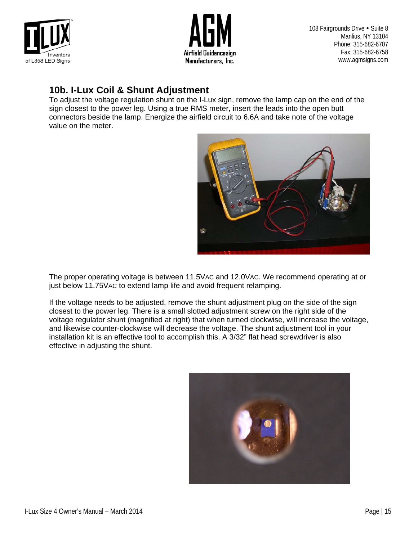



108 Fairgrounds Drive . Suite 8 Manlius, NY 13104 Phone: 315-682-6707 Fax: 315-682-6758 www.agmsigns.com

### **10b. I-Lux Coil & Shunt Adjustment**

To adjust the voltage regulation shunt on the I-Lux sign, remove the lamp cap on the end of the sign closest to the power leg. Using a true RMS meter, insert the leads into the open butt connectors beside the lamp. Energize the airfield circuit to 6.6A and take note of the voltage value on the meter.



The proper operating voltage is between 11.5VAC and 12.0VAC. We recommend operating at or just below 11.75VAC to extend lamp life and avoid frequent relamping.

If the voltage needs to be adjusted, remove the shunt adjustment plug on the side of the sign closest to the power leg. There is a small slotted adjustment screw on the right side of the voltage regulator shunt (magnified at right) that when turned clockwise, will increase the voltage, and likewise counter-clockwise will decrease the voltage. The shunt adjustment tool in your installation kit is an effective tool to accomplish this. A 3/32" flat head screwdriver is also effective in adjusting the shunt.

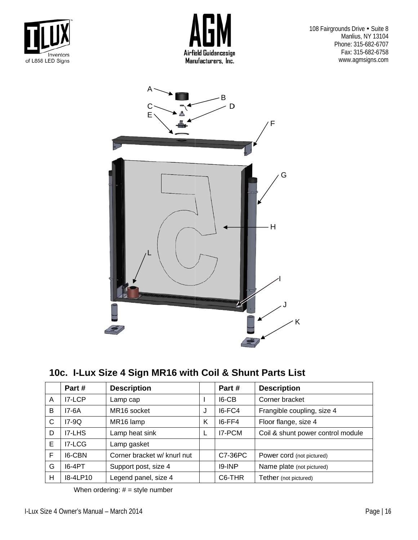



108 Fairgrounds Drive . Suite 8 Manlius, NY 13104 Phone: 315-682-6707 Fax: 315-682-6758 www.agmsigns.com



10c. I-Lux Size 4 Sign MR16 with Coil & Shunt Parts List

|   | Part#    | <b>Description</b>          |   | Part #    | <b>Description</b>                |
|---|----------|-----------------------------|---|-----------|-----------------------------------|
| A | $IZ-LCP$ | Lamp cap                    |   | $IG-CB$   | Corner bracket                    |
| B | 17-6A    | MR <sub>16</sub> socket     | J | $IG-FC4$  | Frangible coupling, size 4        |
| C | $I7-9Q$  | MR16 lamp                   | Κ | $16-FF4$  | Floor flange, size 4              |
| D | I7-LHS   | Lamp heat sink              | L | I7-PCM    | Coil & shunt power control module |
| E | I7-LCG   | Lamp gasket                 |   |           |                                   |
| F | 16-CBN   | Corner bracket w/ knurl nut |   | C7-36PC   | Power cord (not pictured)         |
| G | $16-4PT$ | Support post, size 4        |   | $19$ -INP | Name plate (not pictured)         |
| н | 18-4LP10 | Legend panel, size 4        |   | C6-THR    | Tether (not pictured)             |

When ordering:  $# = style number$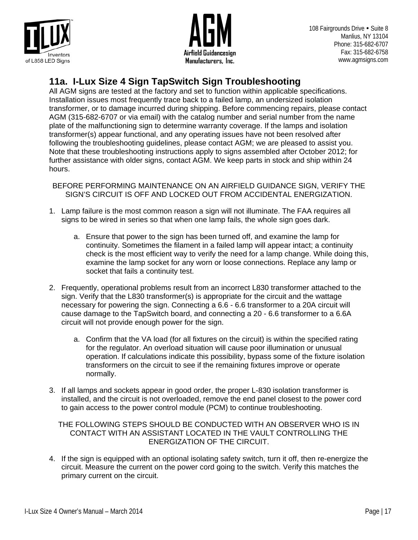



108 Fairgrounds Drive • Suite 8 Manlius, NY 13104 Phone: 315-682-6707 Fax: 315-682-6758 www.agmsigns.com

### **11a. I-Lux Size 4 Sign TapSwitch Sign Troubleshooting**

All AGM signs are tested at the factory and set to function within applicable specifications. Installation issues most frequently trace back to a failed lamp, an undersized isolation transformer, or to damage incurred during shipping. Before commencing repairs, please contact AGM (315-682-6707 or via email) with the catalog number and serial number from the name plate of the malfunctioning sign to determine warranty coverage. If the lamps and isolation transformer(s) appear functional, and any operating issues have not been resolved after following the troubleshooting guidelines, please contact AGM; we are pleased to assist you. Note that these troubleshooting instructions apply to signs assembled after October 2012; for further assistance with older signs, contact AGM. We keep parts in stock and ship within 24 hours.

BEFORE PERFORMING MAINTENANCE ON AN AIRFIELD GUIDANCE SIGN, VERIFY THE SIGN'S CIRCUIT IS OFF AND LOCKED OUT FROM ACCIDENTAL ENERGIZATION.

- 1. Lamp failure is the most common reason a sign will not illuminate. The FAA requires all signs to be wired in series so that when one lamp fails, the whole sign goes dark.
	- a. Ensure that power to the sign has been turned off, and examine the lamp for continuity. Sometimes the filament in a failed lamp will appear intact; a continuity check is the most efficient way to verify the need for a lamp change. While doing this, examine the lamp socket for any worn or loose connections. Replace any lamp or socket that fails a continuity test.
- 2. Frequently, operational problems result from an incorrect L830 transformer attached to the sign. Verify that the L830 transformer(s) is appropriate for the circuit and the wattage necessary for powering the sign. Connecting a 6.6 - 6.6 transformer to a 20A circuit will cause damage to the TapSwitch board, and connecting a 20 - 6.6 transformer to a 6.6A circuit will not provide enough power for the sign.
	- a. Confirm that the VA load (for all fixtures on the circuit) is within the specified rating for the regulator. An overload situation will cause poor illumination or unusual operation. If calculations indicate this possibility, bypass some of the fixture isolation transformers on the circuit to see if the remaining fixtures improve or operate normally.
- 3. If all lamps and sockets appear in good order, the proper L-830 isolation transformer is installed, and the circuit is not overloaded, remove the end panel closest to the power cord to gain access to the power control module (PCM) to continue troubleshooting.

### THE FOLLOWING STEPS SHOULD BE CONDUCTED WITH AN OBSERVER WHO IS IN CONTACT WITH AN ASSISTANT LOCATED IN THE VAULT CONTROLLING THE ENERGIZATION OF THE CIRCUIT.

4. If the sign is equipped with an optional isolating safety switch, turn it off, then re-energize the circuit. Measure the current on the power cord going to the switch. Verify this matches the primary current on the circuit.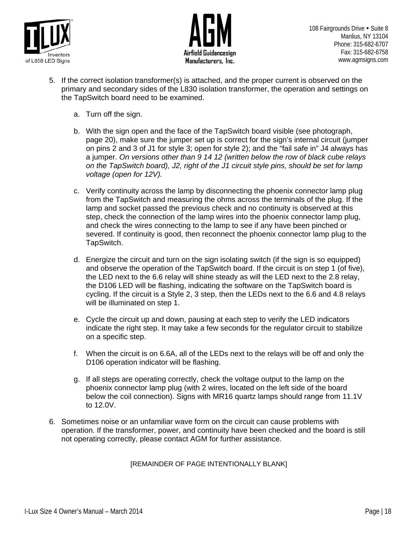



- 5. If the correct isolation transformer(s) is attached, and the proper current is observed on the primary and secondary sides of the L830 isolation transformer, the operation and settings on the TapSwitch board need to be examined.
	- a. Turn off the sign.
	- b. With the sign open and the face of the TapSwitch board visible (see photograph, page 20), make sure the jumper set up is correct for the sign's internal circuit (jumper on pins 2 and 3 of J1 for style 3; open for style 2); and the "fail safe in" J4 always has a jumper. *On versions other than 9 14 12 (written below the row of black cube relays on the TapSwitch board), J2, right of the J1 circuit style pins, should be set for lamp voltage (open for 12V).*
	- c. Verify continuity across the lamp by disconnecting the phoenix connector lamp plug from the TapSwitch and measuring the ohms across the terminals of the plug. If the lamp and socket passed the previous check and no continuity is observed at this step, check the connection of the lamp wires into the phoenix connector lamp plug, and check the wires connecting to the lamp to see if any have been pinched or severed. If continuity is good, then reconnect the phoenix connector lamp plug to the TapSwitch.
	- d. Energize the circuit and turn on the sign isolating switch (if the sign is so equipped) and observe the operation of the TapSwitch board. If the circuit is on step 1 (of five), the LED next to the 6.6 relay will shine steady as will the LED next to the 2.8 relay, the D106 LED will be flashing, indicating the software on the TapSwitch board is cycling. If the circuit is a Style 2, 3 step, then the LEDs next to the 6.6 and 4.8 relays will be illuminated on step 1.
	- e. Cycle the circuit up and down, pausing at each step to verify the LED indicators indicate the right step. It may take a few seconds for the regulator circuit to stabilize on a specific step.
	- f. When the circuit is on 6.6A, all of the LEDs next to the relays will be off and only the D106 operation indicator will be flashing.
	- g. If all steps are operating correctly, check the voltage output to the lamp on the phoenix connector lamp plug (with 2 wires, located on the left side of the board below the coil connection). Signs with MR16 quartz lamps should range from 11.1V to 12.0V.
- 6. Sometimes noise or an unfamiliar wave form on the circuit can cause problems with operation. If the transformer, power, and continuity have been checked and the board is still not operating correctly, please contact AGM for further assistance.

### [REMAINDER OF PAGE INTENTIONALLY BLANK]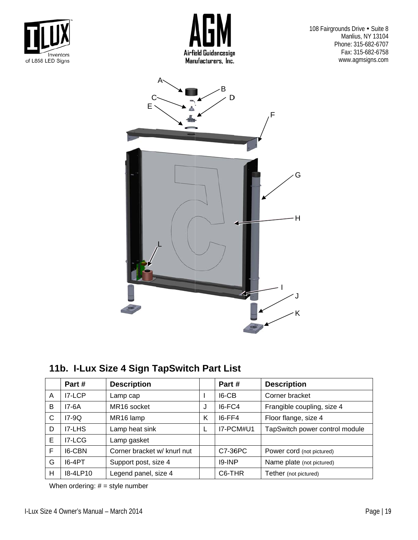



108 Fairgrounds Drive . Suite 8 Manlius, NY 13104 Phone: 315-682-6707 Fax: 315-682-6758 www.agmsigns.com



11b. I-Lux Size 4 Sign TapSwitch Part List

|   | Part#         | <b>Description</b>          |   | Part #    | <b>Description</b>             |
|---|---------------|-----------------------------|---|-----------|--------------------------------|
| A | I7-LCP        | Lamp cap                    |   | $IG-CB$   | Corner bracket                 |
| B | 17-6A         | MR <sub>16</sub> socket     | J | $IG-FC4$  | Frangible coupling, size 4     |
| C | $I7-9Q$       | MR16 lamp                   | K | $16-FF4$  | Floor flange, size 4           |
| D | <b>IZ-LHS</b> | Lamp heat sink              | L | I7-PCM#U1 | TapSwitch power control module |
| E | I7-LCG        | Lamp gasket                 |   |           |                                |
| F | 16-CBN        | Corner bracket w/ knurl nut |   | C7-36PC   | Power cord (not pictured)      |
| G | 16-4PT        | Support post, size 4        |   | $19$ -INP | Name plate (not pictured)      |
| Н | 18-4LP10      | Legend panel, size 4        |   | C6-THR    | Tether (not pictured)          |

When ordering:  $# =$  style number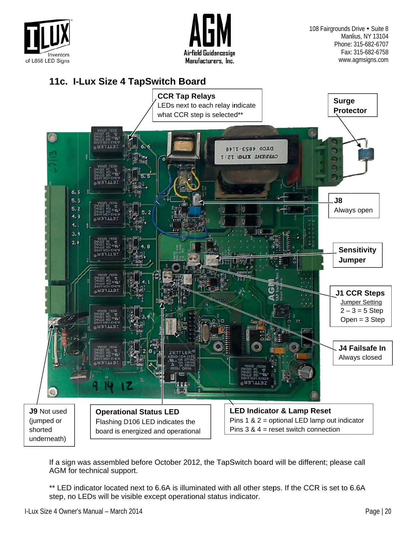



108 Fairgrounds Drive • Suite 8 Manlius, NY 13104 Phone: 315-682-6707 Fax: 315-682-6758 www.agmsigns.com

### 11c. I-Lux Size 4 TapSwitch Board



If a sign was assembled before October 2012, the TapSwitch board will be different; please call AGM for technical support.

\*\* LED indicator located next to 6.6A is illuminated with all other steps. If the CCR is set to 6.6A step, no LEDs will be visible except operational status indicator.